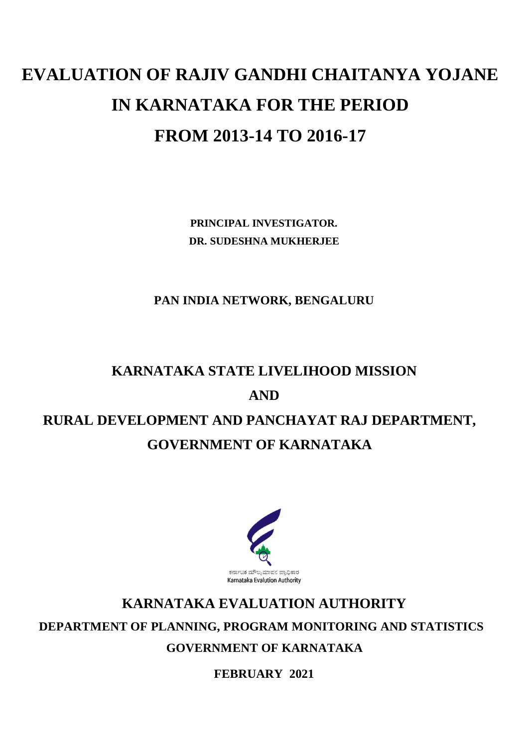# **EVALUATION OF RAJIV GANDHI CHAITANYA YOJANE IN KARNATAKA FOR THE PERIOD FROM 2013-14 TO 2016-17**

**PRINCIPAL INVESTIGATOR. DR. SUDESHNA MUKHERJEE**

**PAN INDIA NETWORK, BENGALURU**

# **KARNATAKA STATE LIVELIHOOD MISSION AND RURAL DEVELOPMENT AND PANCHAYAT RAJ DEPARTMENT,**

# **GOVERNMENT OF KARNATAKA**



# **KARNATAKA EVALUATION AUTHORITY DEPARTMENT OF PLANNING, PROGRAM MONITORING AND STATISTICS**

**GOVERNMENT OF KARNATAKA**

**FEBRUARY 2021**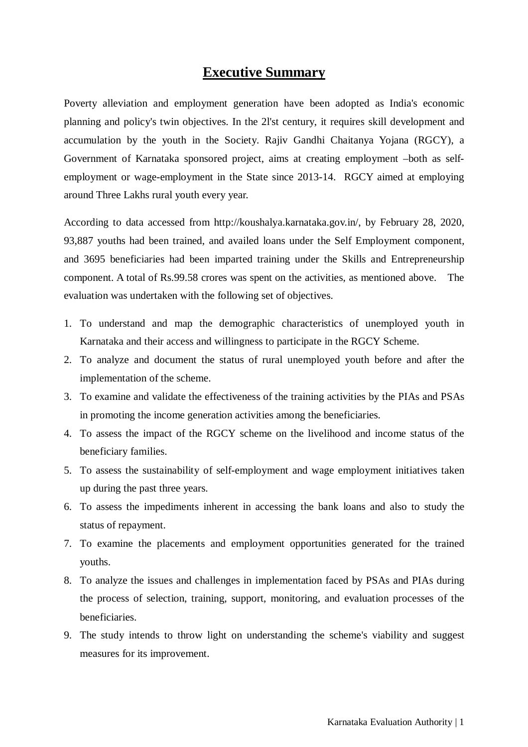# **Executive Summary**

Poverty alleviation and employment generation have been adopted as India's economic planning and policy's twin objectives. In the 2l'st century, it requires skill development and accumulation by the youth in the Society. Rajiv Gandhi Chaitanya Yojana (RGCY), a Government of Karnataka sponsored project, aims at creating employment –both as selfemployment or wage-employment in the State since 2013-14. RGCY aimed at employing around Three Lakhs rural youth every year.

According to data accessed from http://koushalya.karnataka.gov.in/, by February 28, 2020, 93,887 youths had been trained, and availed loans under the Self Employment component, and 3695 beneficiaries had been imparted training under the Skills and Entrepreneurship component. A total of Rs.99.58 crores was spent on the activities, as mentioned above. The evaluation was undertaken with the following set of objectives.

- 1. To understand and map the demographic characteristics of unemployed youth in Karnataka and their access and willingness to participate in the RGCY Scheme.
- 2. To analyze and document the status of rural unemployed youth before and after the implementation of the scheme.
- 3. To examine and validate the effectiveness of the training activities by the PIAs and PSAs in promoting the income generation activities among the beneficiaries.
- 4. To assess the impact of the RGCY scheme on the livelihood and income status of the beneficiary families.
- 5. To assess the sustainability of self-employment and wage employment initiatives taken up during the past three years.
- 6. To assess the impediments inherent in accessing the bank loans and also to study the status of repayment.
- 7. To examine the placements and employment opportunities generated for the trained youths.
- 8. To analyze the issues and challenges in implementation faced by PSAs and PIAs during the process of selection, training, support, monitoring, and evaluation processes of the beneficiaries.
- 9. The study intends to throw light on understanding the scheme's viability and suggest measures for its improvement.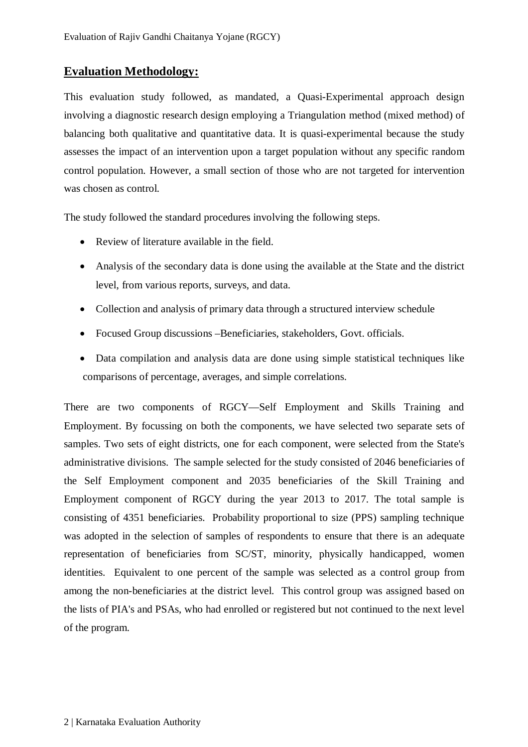# **Evaluation Methodology:**

This evaluation study followed, as mandated, a Quasi-Experimental approach design involving a diagnostic research design employing a Triangulation method (mixed method) of balancing both qualitative and quantitative data. It is quasi-experimental because the study assesses the impact of an intervention upon a target population without any specific random control population. However, a small section of those who are not targeted for intervention was chosen as control.

The study followed the standard procedures involving the following steps.

- Review of literature available in the field.
- Analysis of the secondary data is done using the available at the State and the district level, from various reports, surveys, and data.
- Collection and analysis of primary data through a structured interview schedule
- Focused Group discussions –Beneficiaries, stakeholders, Govt. officials.
- Data compilation and analysis data are done using simple statistical techniques like comparisons of percentage, averages, and simple correlations.

There are two components of RGCY—Self Employment and Skills Training and Employment. By focussing on both the components, we have selected two separate sets of samples. Two sets of eight districts, one for each component, were selected from the State's administrative divisions. The sample selected for the study consisted of 2046 beneficiaries of the Self Employment component and 2035 beneficiaries of the Skill Training and Employment component of RGCY during the year 2013 to 2017. The total sample is consisting of 4351 beneficiaries. Probability proportional to size (PPS) sampling technique was adopted in the selection of samples of respondents to ensure that there is an adequate representation of beneficiaries from SC/ST, minority, physically handicapped, women identities. Equivalent to one percent of the sample was selected as a control group from among the non-beneficiaries at the district level. This control group was assigned based on the lists of PIA's and PSAs, who had enrolled or registered but not continued to the next level of the program.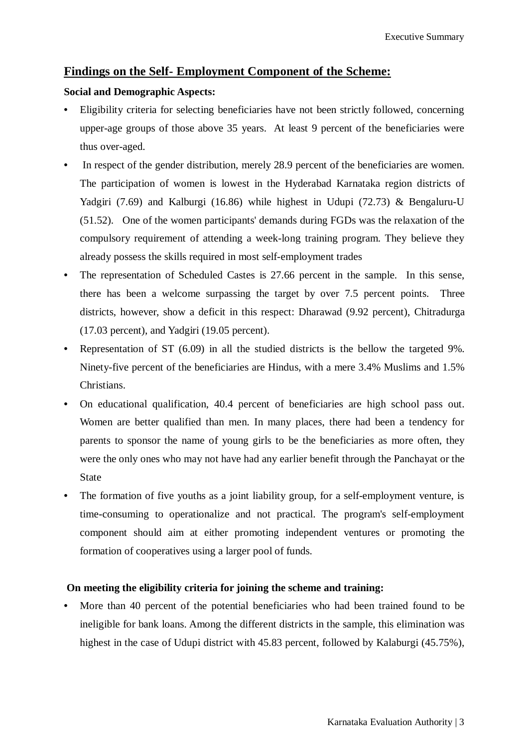## **Findings on the Self- Employment Component of the Scheme:**

#### **Social and Demographic Aspects:**

- Eligibility criteria for selecting beneficiaries have not been strictly followed, concerning upper-age groups of those above 35 years. At least 9 percent of the beneficiaries were thus over-aged.
- In respect of the gender distribution, merely 28.9 percent of the beneficiaries are women. The participation of women is lowest in the Hyderabad Karnataka region districts of Yadgiri (7.69) and Kalburgi (16.86) while highest in Udupi (72.73) & Bengaluru-U (51.52). One of the women participants' demands during FGDs was the relaxation of the compulsory requirement of attending a week-long training program. They believe they already possess the skills required in most self-employment trades
- The representation of Scheduled Castes is 27.66 percent in the sample. In this sense, there has been a welcome surpassing the target by over 7.5 percent points. Three districts, however, show a deficit in this respect: Dharawad (9.92 percent), Chitradurga (17.03 percent), and Yadgiri (19.05 percent).
- Representation of ST (6.09) in all the studied districts is the bellow the targeted 9%. Ninety-five percent of the beneficiaries are Hindus, with a mere 3.4% Muslims and 1.5% Christians.
- On educational qualification, 40.4 percent of beneficiaries are high school pass out. Women are better qualified than men. In many places, there had been a tendency for parents to sponsor the name of young girls to be the beneficiaries as more often, they were the only ones who may not have had any earlier benefit through the Panchayat or the State
- The formation of five youths as a joint liability group, for a self-employment venture, is time-consuming to operationalize and not practical. The program's self-employment component should aim at either promoting independent ventures or promoting the formation of cooperatives using a larger pool of funds.

### **On meeting the eligibility criteria for joining the scheme and training:**

More than 40 percent of the potential beneficiaries who had been trained found to be ineligible for bank loans. Among the different districts in the sample, this elimination was highest in the case of Udupi district with 45.83 percent, followed by Kalaburgi (45.75%),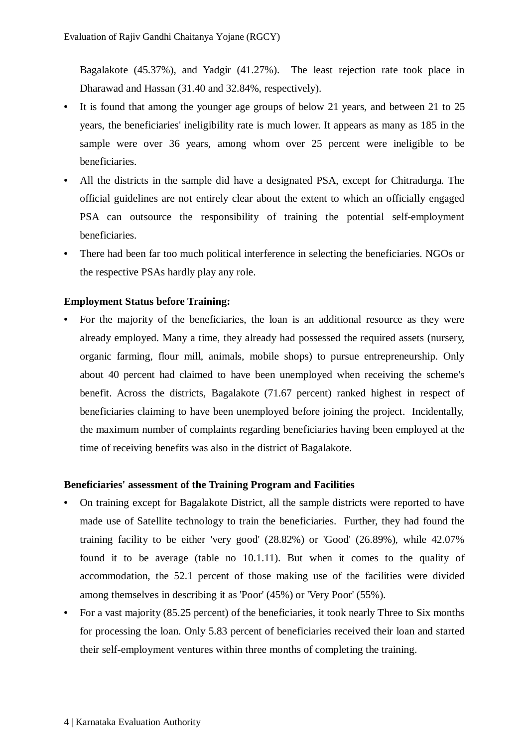Bagalakote (45.37%), and Yadgir (41.27%). The least rejection rate took place in Dharawad and Hassan (31.40 and 32.84%, respectively).

- It is found that among the younger age groups of below 21 years, and between 21 to 25 years, the beneficiaries' ineligibility rate is much lower. It appears as many as 185 in the sample were over 36 years, among whom over 25 percent were ineligible to be beneficiaries.
- All the districts in the sample did have a designated PSA, except for Chitradurga. The official guidelines are not entirely clear about the extent to which an officially engaged PSA can outsource the responsibility of training the potential self-employment beneficiaries.
- There had been far too much political interference in selecting the beneficiaries. NGOs or the respective PSAs hardly play any role.

#### **Employment Status before Training:**

• For the majority of the beneficiaries, the loan is an additional resource as they were already employed. Many a time, they already had possessed the required assets (nursery, organic farming, flour mill, animals, mobile shops) to pursue entrepreneurship. Only about 40 percent had claimed to have been unemployed when receiving the scheme's benefit. Across the districts, Bagalakote (71.67 percent) ranked highest in respect of beneficiaries claiming to have been unemployed before joining the project. Incidentally, the maximum number of complaints regarding beneficiaries having been employed at the time of receiving benefits was also in the district of Bagalakote.

#### **Beneficiaries' assessment of the Training Program and Facilities**

- On training except for Bagalakote District, all the sample districts were reported to have made use of Satellite technology to train the beneficiaries. Further, they had found the training facility to be either 'very good' (28.82%) or 'Good' (26.89%), while 42.07% found it to be average (table no 10.1.11). But when it comes to the quality of accommodation, the 52.1 percent of those making use of the facilities were divided among themselves in describing it as 'Poor' (45%) or 'Very Poor' (55%).
- For a vast majority (85.25 percent) of the beneficiaries, it took nearly Three to Six months for processing the loan. Only 5.83 percent of beneficiaries received their loan and started their self-employment ventures within three months of completing the training.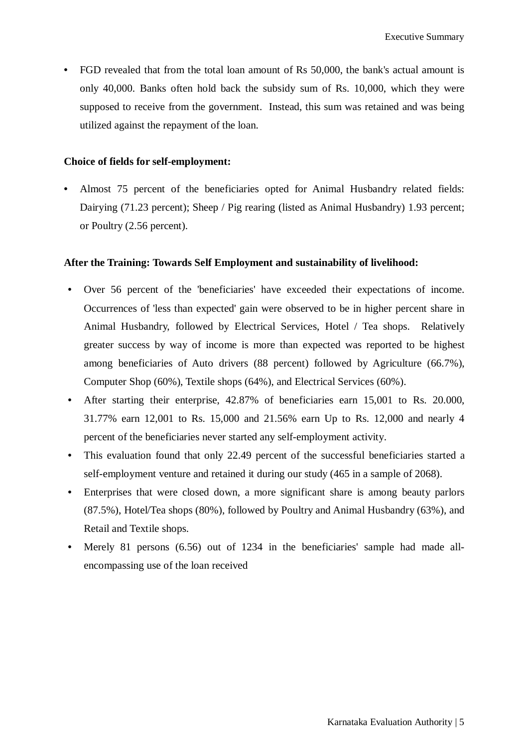• FGD revealed that from the total loan amount of Rs 50,000, the bank's actual amount is only 40,000. Banks often hold back the subsidy sum of Rs. 10,000, which they were supposed to receive from the government. Instead, this sum was retained and was being utilized against the repayment of the loan.

#### **Choice of fields for self-employment:**

• Almost 75 percent of the beneficiaries opted for Animal Husbandry related fields: Dairying (71.23 percent); Sheep / Pig rearing (listed as Animal Husbandry) 1.93 percent; or Poultry (2.56 percent).

#### **After the Training: Towards Self Employment and sustainability of livelihood:**

- Over 56 percent of the 'beneficiaries' have exceeded their expectations of income. Occurrences of 'less than expected' gain were observed to be in higher percent share in Animal Husbandry, followed by Electrical Services, Hotel / Tea shops. Relatively greater success by way of income is more than expected was reported to be highest among beneficiaries of Auto drivers (88 percent) followed by Agriculture (66.7%), Computer Shop (60%), Textile shops (64%), and Electrical Services (60%).
- After starting their enterprise, 42.87% of beneficiaries earn 15,001 to Rs. 20.000, 31.77% earn 12,001 to Rs. 15,000 and 21.56% earn Up to Rs. 12,000 and nearly 4 percent of the beneficiaries never started any self-employment activity.
- This evaluation found that only 22.49 percent of the successful beneficiaries started a self-employment venture and retained it during our study (465 in a sample of 2068).
- Enterprises that were closed down, a more significant share is among beauty parlors (87.5%), Hotel/Tea shops (80%), followed by Poultry and Animal Husbandry (63%), and Retail and Textile shops.
- Merely 81 persons (6.56) out of 1234 in the beneficiaries' sample had made allencompassing use of the loan received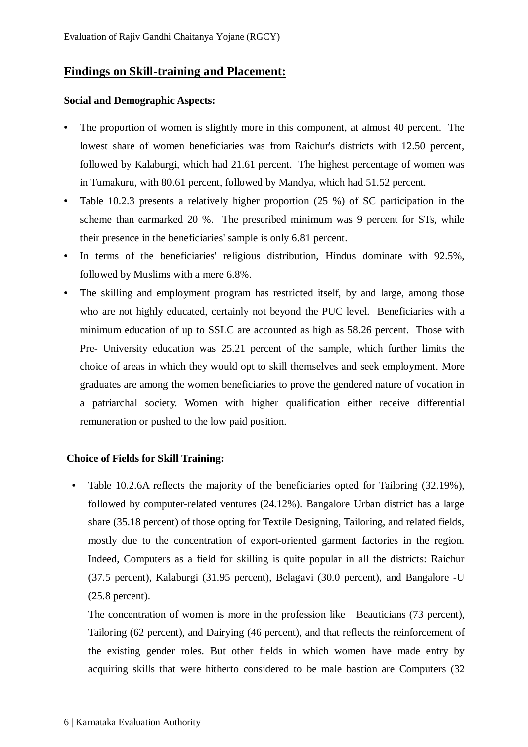## **Findings on Skill-training and Placement:**

#### **Social and Demographic Aspects:**

- The proportion of women is slightly more in this component, at almost 40 percent. The lowest share of women beneficiaries was from Raichur's districts with 12.50 percent, followed by Kalaburgi, which had 21.61 percent. The highest percentage of women was in Tumakuru, with 80.61 percent, followed by Mandya, which had 51.52 percent.
- Table 10.2.3 presents a relatively higher proportion (25 %) of SC participation in the scheme than earmarked 20 %. The prescribed minimum was 9 percent for STs, while their presence in the beneficiaries' sample is only 6.81 percent.
- In terms of the beneficiaries' religious distribution, Hindus dominate with 92.5%, followed by Muslims with a mere 6.8%.
- The skilling and employment program has restricted itself, by and large, among those who are not highly educated, certainly not beyond the PUC level. Beneficiaries with a minimum education of up to SSLC are accounted as high as 58.26 percent. Those with Pre- University education was 25.21 percent of the sample, which further limits the choice of areas in which they would opt to skill themselves and seek employment. More graduates are among the women beneficiaries to prove the gendered nature of vocation in a patriarchal society. Women with higher qualification either receive differential remuneration or pushed to the low paid position.

#### **Choice of Fields for Skill Training:**

• Table 10.2.6A reflects the majority of the beneficiaries opted for Tailoring (32.19%), followed by computer-related ventures (24.12%). Bangalore Urban district has a large share (35.18 percent) of those opting for Textile Designing, Tailoring, and related fields, mostly due to the concentration of export-oriented garment factories in the region. Indeed, Computers as a field for skilling is quite popular in all the districts: Raichur (37.5 percent), Kalaburgi (31.95 percent), Belagavi (30.0 percent), and Bangalore -U (25.8 percent).

The concentration of women is more in the profession like Beauticians (73 percent), Tailoring (62 percent), and Dairying (46 percent), and that reflects the reinforcement of the existing gender roles. But other fields in which women have made entry by acquiring skills that were hitherto considered to be male bastion are Computers (32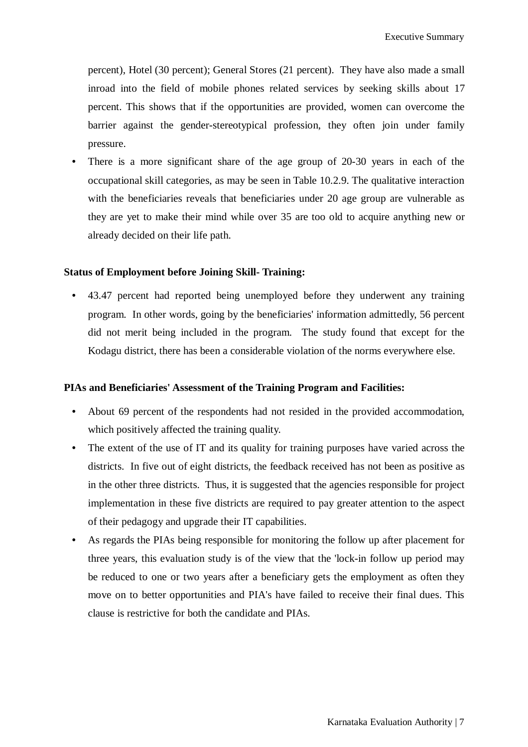percent), Hotel (30 percent); General Stores (21 percent). They have also made a small inroad into the field of mobile phones related services by seeking skills about 17 percent. This shows that if the opportunities are provided, women can overcome the barrier against the gender-stereotypical profession, they often join under family pressure.

There is a more significant share of the age group of 20-30 years in each of the occupational skill categories, as may be seen in Table 10.2.9. The qualitative interaction with the beneficiaries reveals that beneficiaries under 20 age group are vulnerable as they are yet to make their mind while over 35 are too old to acquire anything new or already decided on their life path.

#### **Status of Employment before Joining Skill- Training:**

• 43.47 percent had reported being unemployed before they underwent any training program. In other words, going by the beneficiaries' information admittedly, 56 percent did not merit being included in the program. The study found that except for the Kodagu district, there has been a considerable violation of the norms everywhere else.

#### **PIAs and Beneficiaries' Assessment of the Training Program and Facilities:**

- About 69 percent of the respondents had not resided in the provided accommodation, which positively affected the training quality.
- The extent of the use of IT and its quality for training purposes have varied across the districts. In five out of eight districts, the feedback received has not been as positive as in the other three districts. Thus, it is suggested that the agencies responsible for project implementation in these five districts are required to pay greater attention to the aspect of their pedagogy and upgrade their IT capabilities.
- As regards the PIAs being responsible for monitoring the follow up after placement for three years, this evaluation study is of the view that the 'lock-in follow up period may be reduced to one or two years after a beneficiary gets the employment as often they move on to better opportunities and PIA's have failed to receive their final dues. This clause is restrictive for both the candidate and PIAs.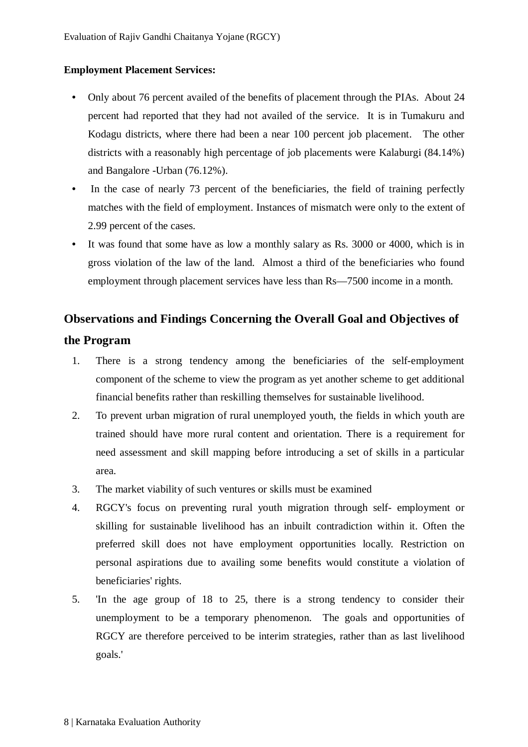# **Employment Placement Services:**

- Only about 76 percent availed of the benefits of placement through the PIAs. About 24 percent had reported that they had not availed of the service. It is in Tumakuru and Kodagu districts, where there had been a near 100 percent job placement. The other districts with a reasonably high percentage of job placements were Kalaburgi (84.14%) and Bangalore -Urban (76.12%).
- In the case of nearly 73 percent of the beneficiaries, the field of training perfectly matches with the field of employment. Instances of mismatch were only to the extent of 2.99 percent of the cases.
- It was found that some have as low a monthly salary as Rs. 3000 or 4000, which is in gross violation of the law of the land. Almost a third of the beneficiaries who found employment through placement services have less than Rs—7500 income in a month.

# **Observations and Findings Concerning the Overall Goal and Objectives of**

## **the Program**

- 1. There is a strong tendency among the beneficiaries of the self-employment component of the scheme to view the program as yet another scheme to get additional financial benefits rather than reskilling themselves for sustainable livelihood.
- 2. To prevent urban migration of rural unemployed youth, the fields in which youth are trained should have more rural content and orientation. There is a requirement for need assessment and skill mapping before introducing a set of skills in a particular area.
- 3. The market viability of such ventures or skills must be examined
- 4. RGCY's focus on preventing rural youth migration through self- employment or skilling for sustainable livelihood has an inbuilt contradiction within it. Often the preferred skill does not have employment opportunities locally. Restriction on personal aspirations due to availing some benefits would constitute a violation of beneficiaries' rights.
- 5. 'In the age group of 18 to 25, there is a strong tendency to consider their unemployment to be a temporary phenomenon. The goals and opportunities of RGCY are therefore perceived to be interim strategies, rather than as last livelihood goals.'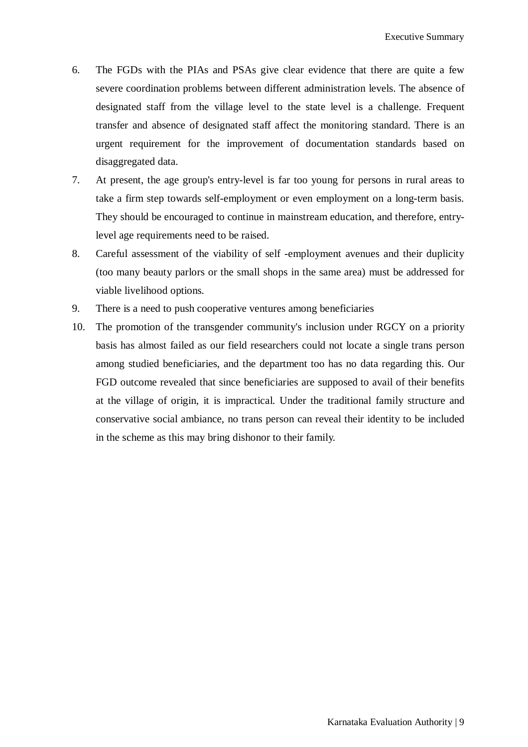- 6. The FGDs with the PIAs and PSAs give clear evidence that there are quite a few severe coordination problems between different administration levels. The absence of designated staff from the village level to the state level is a challenge. Frequent transfer and absence of designated staff affect the monitoring standard. There is an urgent requirement for the improvement of documentation standards based on disaggregated data.
- 7. At present, the age group's entry-level is far too young for persons in rural areas to take a firm step towards self-employment or even employment on a long-term basis. They should be encouraged to continue in mainstream education, and therefore, entrylevel age requirements need to be raised.
- 8. Careful assessment of the viability of self -employment avenues and their duplicity (too many beauty parlors or the small shops in the same area) must be addressed for viable livelihood options.
- 9. There is a need to push cooperative ventures among beneficiaries
- 10. The promotion of the transgender community's inclusion under RGCY on a priority basis has almost failed as our field researchers could not locate a single trans person among studied beneficiaries, and the department too has no data regarding this. Our FGD outcome revealed that since beneficiaries are supposed to avail of their benefits at the village of origin, it is impractical. Under the traditional family structure and conservative social ambiance, no trans person can reveal their identity to be included in the scheme as this may bring dishonor to their family.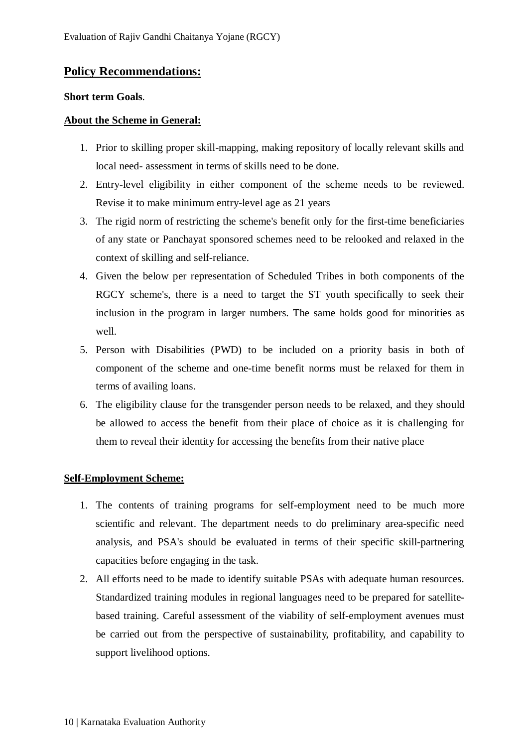# **Policy Recommendations:**

#### **Short term Goals**.

### **About the Scheme in General:**

- 1. Prior to skilling proper skill-mapping, making repository of locally relevant skills and local need- assessment in terms of skills need to be done.
- 2. Entry-level eligibility in either component of the scheme needs to be reviewed. Revise it to make minimum entry-level age as 21 years
- 3. The rigid norm of restricting the scheme's benefit only for the first-time beneficiaries of any state or Panchayat sponsored schemes need to be relooked and relaxed in the context of skilling and self-reliance.
- 4. Given the below per representation of Scheduled Tribes in both components of the RGCY scheme's, there is a need to target the ST youth specifically to seek their inclusion in the program in larger numbers. The same holds good for minorities as well.
- 5. Person with Disabilities (PWD) to be included on a priority basis in both of component of the scheme and one-time benefit norms must be relaxed for them in terms of availing loans.
- 6. The eligibility clause for the transgender person needs to be relaxed, and they should be allowed to access the benefit from their place of choice as it is challenging for them to reveal their identity for accessing the benefits from their native place

#### **Self-Employment Scheme:**

- 1. The contents of training programs for self-employment need to be much more scientific and relevant. The department needs to do preliminary area-specific need analysis, and PSA's should be evaluated in terms of their specific skill-partnering capacities before engaging in the task.
- 2. All efforts need to be made to identify suitable PSAs with adequate human resources. Standardized training modules in regional languages need to be prepared for satellitebased training. Careful assessment of the viability of self-employment avenues must be carried out from the perspective of sustainability, profitability, and capability to support livelihood options.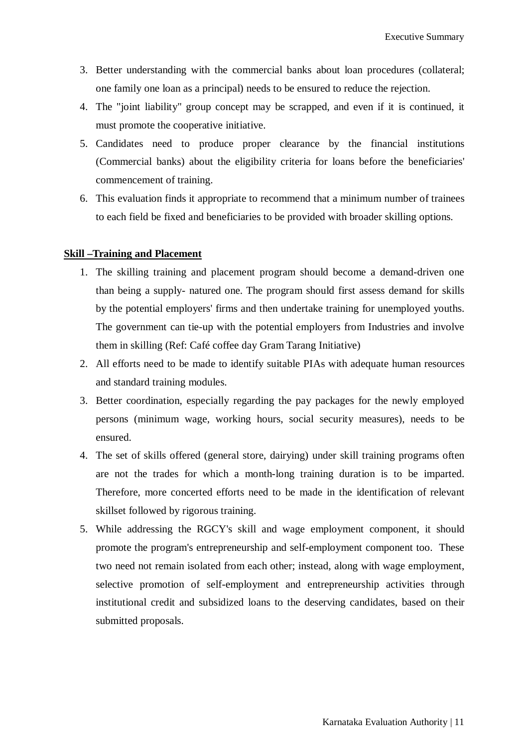- 3. Better understanding with the commercial banks about loan procedures (collateral; one family one loan as a principal) needs to be ensured to reduce the rejection.
- 4. The "joint liability" group concept may be scrapped, and even if it is continued, it must promote the cooperative initiative.
- 5. Candidates need to produce proper clearance by the financial institutions (Commercial banks) about the eligibility criteria for loans before the beneficiaries' commencement of training.
- 6. This evaluation finds it appropriate to recommend that a minimum number of trainees to each field be fixed and beneficiaries to be provided with broader skilling options.

#### **Skill –Training and Placement**

- 1. The skilling training and placement program should become a demand-driven one than being a supply- natured one. The program should first assess demand for skills by the potential employers' firms and then undertake training for unemployed youths. The government can tie-up with the potential employers from Industries and involve them in skilling (Ref: Café coffee day Gram Tarang Initiative)
- 2. All efforts need to be made to identify suitable PIAs with adequate human resources and standard training modules.
- 3. Better coordination, especially regarding the pay packages for the newly employed persons (minimum wage, working hours, social security measures), needs to be ensured.
- 4. The set of skills offered (general store, dairying) under skill training programs often are not the trades for which a month-long training duration is to be imparted. Therefore, more concerted efforts need to be made in the identification of relevant skillset followed by rigorous training.
- 5. While addressing the RGCY's skill and wage employment component, it should promote the program's entrepreneurship and self-employment component too. These two need not remain isolated from each other; instead, along with wage employment, selective promotion of self-employment and entrepreneurship activities through institutional credit and subsidized loans to the deserving candidates, based on their submitted proposals.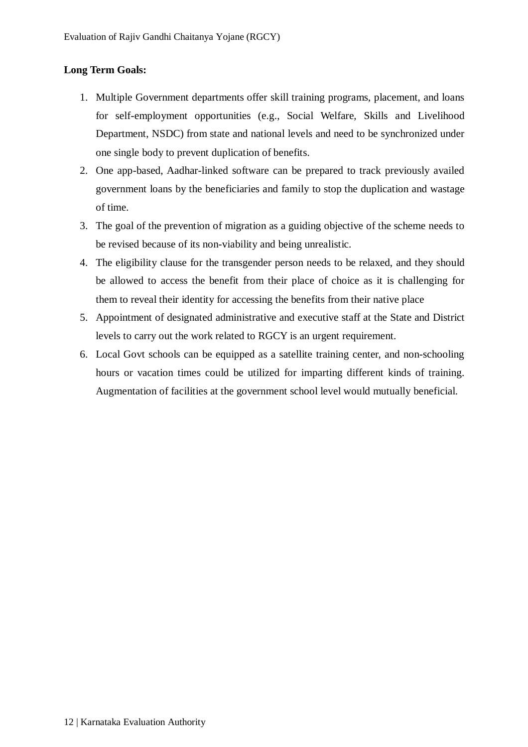# **Long Term Goals:**

- 1. Multiple Government departments offer skill training programs, placement, and loans for self-employment opportunities (e.g., Social Welfare, Skills and Livelihood Department, NSDC) from state and national levels and need to be synchronized under one single body to prevent duplication of benefits.
- 2. One app-based, Aadhar-linked software can be prepared to track previously availed government loans by the beneficiaries and family to stop the duplication and wastage of time.
- 3. The goal of the prevention of migration as a guiding objective of the scheme needs to be revised because of its non-viability and being unrealistic.
- 4. The eligibility clause for the transgender person needs to be relaxed, and they should be allowed to access the benefit from their place of choice as it is challenging for them to reveal their identity for accessing the benefits from their native place
- 5. Appointment of designated administrative and executive staff at the State and District levels to carry out the work related to RGCY is an urgent requirement.
- 6. Local Govt schools can be equipped as a satellite training center, and non-schooling hours or vacation times could be utilized for imparting different kinds of training. Augmentation of facilities at the government school level would mutually beneficial.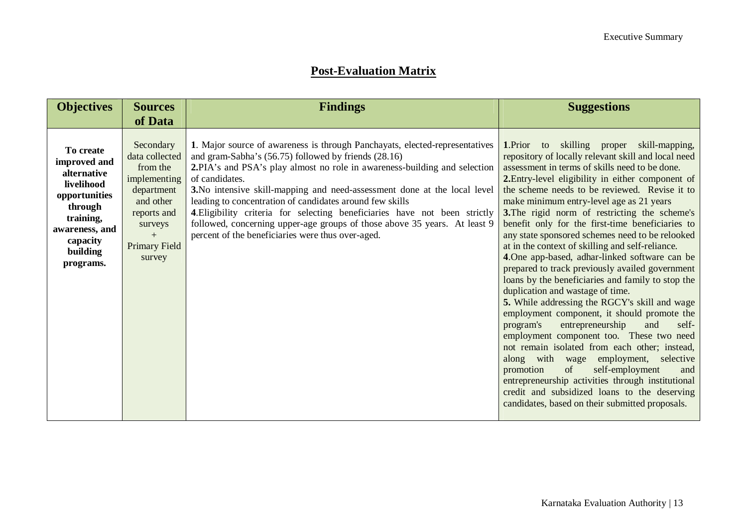# **Post-Evaluation Matrix**

| <b>Objectives</b>                                                                                                                                      | <b>Sources</b>                                                                                                                                 | <b>Findings</b>                                                                                                                                                                                                                                                                                                                                                                                                                                                                                                                                                                             | <b>Suggestions</b>                                                                                                                                                                                                                                                                                                                                                                                                                                                                                                                                                                                                                                                                                                                                                                                                                                                                                                                                                                                                                                                                                                                                                                                            |
|--------------------------------------------------------------------------------------------------------------------------------------------------------|------------------------------------------------------------------------------------------------------------------------------------------------|---------------------------------------------------------------------------------------------------------------------------------------------------------------------------------------------------------------------------------------------------------------------------------------------------------------------------------------------------------------------------------------------------------------------------------------------------------------------------------------------------------------------------------------------------------------------------------------------|---------------------------------------------------------------------------------------------------------------------------------------------------------------------------------------------------------------------------------------------------------------------------------------------------------------------------------------------------------------------------------------------------------------------------------------------------------------------------------------------------------------------------------------------------------------------------------------------------------------------------------------------------------------------------------------------------------------------------------------------------------------------------------------------------------------------------------------------------------------------------------------------------------------------------------------------------------------------------------------------------------------------------------------------------------------------------------------------------------------------------------------------------------------------------------------------------------------|
|                                                                                                                                                        | of Data                                                                                                                                        |                                                                                                                                                                                                                                                                                                                                                                                                                                                                                                                                                                                             |                                                                                                                                                                                                                                                                                                                                                                                                                                                                                                                                                                                                                                                                                                                                                                                                                                                                                                                                                                                                                                                                                                                                                                                                               |
| To create<br>improved and<br>alternative<br>livelihood<br>opportunities<br>through<br>training,<br>awareness, and<br>capacity<br>building<br>programs. | Secondary<br>data collected<br>from the<br>implementing<br>department<br>and other<br>reports and<br>surveys<br>$+$<br>Primary Field<br>survey | 1. Major source of awareness is through Panchayats, elected-representatives<br>and gram-Sabha's (56.75) followed by friends (28.16)<br>2.PIA's and PSA's play almost no role in awareness-building and selection<br>of candidates.<br>3. No intensive skill-mapping and need-assessment done at the local level<br>leading to concentration of candidates around few skills<br>4. Eligibility criteria for selecting beneficiaries have not been strictly<br>followed, concerning upper-age groups of those above 35 years. At least 9<br>percent of the beneficiaries were thus over-aged. | to skilling proper skill-mapping,<br>1.Prior<br>repository of locally relevant skill and local need<br>assessment in terms of skills need to be done.<br>2. Entry-level eligibility in either component of<br>the scheme needs to be reviewed. Revise it to<br>make minimum entry-level age as 21 years<br>3. The rigid norm of restricting the scheme's<br>benefit only for the first-time beneficiaries to<br>any state sponsored schemes need to be relooked<br>at in the context of skilling and self-reliance.<br>4. One app-based, adhar-linked software can be<br>prepared to track previously availed government<br>loans by the beneficiaries and family to stop the<br>duplication and wastage of time.<br>5. While addressing the RGCY's skill and wage<br>employment component, it should promote the<br>program's<br>entrepreneurship<br>and<br>self-<br>employment component too. These two need<br>not remain isolated from each other; instead,<br>along with wage employment, selective<br>promotion<br>of<br>self-employment<br>and<br>entrepreneurship activities through institutional<br>credit and subsidized loans to the deserving<br>candidates, based on their submitted proposals. |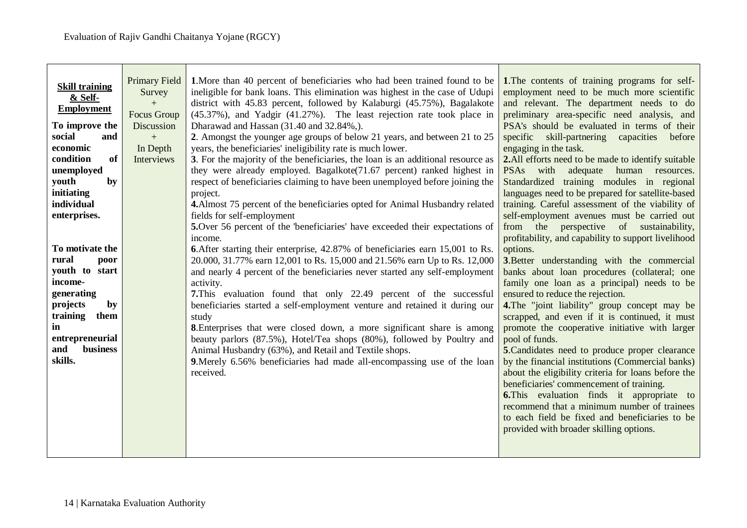| <b>Primary Field</b><br>1. More than 40 percent of beneficiaries who had been trained found to be<br>1. The contents of training programs for self-<br><b>Skill training</b><br>ineligible for bank loans. This elimination was highest in the case of Udupi<br>employment need to be much more scientific<br>Survey<br>& Self-<br>district with 45.83 percent, followed by Kalaburgi (45.75%), Bagalakote<br>and relevant. The department needs to do<br>$+$<br><b>Employment</b><br>Focus Group<br>$(45.37\%)$ , and Yadgir $(41.27\%)$ . The least rejection rate took place in<br>preliminary area-specific need analysis, and<br>PSA's should be evaluated in terms of their<br>To improve the<br>Discussion<br>Dharawad and Hassan (31.40 and 32.84%,).<br>social<br>2. Amongst the younger age groups of below 21 years, and between 21 to 25<br>$+$<br>specific skill-partnering capacities<br>before<br>and<br>years, the beneficiaries' ineligibility rate is much lower.<br>economic<br>In Depth<br>engaging in the task.<br>condition<br>3. For the majority of the beneficiaries, the loan is an additional resource as<br><sub>of</sub><br>Interviews<br>2. All efforts need to be made to identify suitable<br>they were already employed. Bagalkote(71.67 percent) ranked highest in<br>adequate human resources.<br>with<br>unemployed<br><b>PSAs</b><br>respect of beneficiaries claiming to have been unemployed before joining the<br>Standardized training modules in regional<br>youth<br>by<br>languages need to be prepared for satellite-based<br>initiating<br>project.<br>individual<br>training. Careful assessment of the viability of<br>4. Almost 75 percent of the beneficiaries opted for Animal Husbandry related<br>enterprises.<br>fields for self-employment<br>self-employment avenues must be carried out<br>5. Over 56 percent of the 'beneficiaries' have exceeded their expectations of<br>from the perspective of sustainability,<br>profitability, and capability to support livelihood<br>income.<br>To motivate the<br>6. After starting their enterprise, 42.87% of beneficiaries earn 15,001 to Rs.<br>options.<br>rural<br>20.000, 31.77% earn 12,001 to Rs. 15,000 and 21.56% earn Up to Rs. 12,000<br>poor<br>3. Better understanding with the commercial<br>youth to start<br>and nearly 4 percent of the beneficiaries never started any self-employment<br>banks about loan procedures (collateral; one<br>income-<br>activity.<br>family one loan as a principal) needs to be<br>generating<br>7. This evaluation found that only 22.49 percent of the successful<br>ensured to reduce the rejection.<br>projects<br>by<br>beneficiaries started a self-employment venture and retained it during our<br>4. The "joint liability" group concept may be<br>training<br>them<br>scrapped, and even if it is continued, it must<br>study<br>in<br><b>8.</b> Enterprises that were closed down, a more significant share is among<br>promote the cooperative initiative with larger<br>entrepreneurial<br>beauty parlors (87.5%), Hotel/Tea shops (80%), followed by Poultry and<br>pool of funds.<br>business<br>and<br>Animal Husbandry (63%), and Retail and Textile shops.<br>5. Candidates need to produce proper clearance<br>skills.<br>by the financial institutions (Commercial banks)<br>9. Merely 6.56% beneficiaries had made all-encompassing use of the loan<br>about the eligibility criteria for loans before the<br>received.<br>beneficiaries' commencement of training.<br><b>6.</b> This evaluation finds it appropriate to<br>recommend that a minimum number of trainees<br>to each field be fixed and beneficiaries to be<br>provided with broader skilling options. |  |  |
|------------------------------------------------------------------------------------------------------------------------------------------------------------------------------------------------------------------------------------------------------------------------------------------------------------------------------------------------------------------------------------------------------------------------------------------------------------------------------------------------------------------------------------------------------------------------------------------------------------------------------------------------------------------------------------------------------------------------------------------------------------------------------------------------------------------------------------------------------------------------------------------------------------------------------------------------------------------------------------------------------------------------------------------------------------------------------------------------------------------------------------------------------------------------------------------------------------------------------------------------------------------------------------------------------------------------------------------------------------------------------------------------------------------------------------------------------------------------------------------------------------------------------------------------------------------------------------------------------------------------------------------------------------------------------------------------------------------------------------------------------------------------------------------------------------------------------------------------------------------------------------------------------------------------------------------------------------------------------------------------------------------------------------------------------------------------------------------------------------------------------------------------------------------------------------------------------------------------------------------------------------------------------------------------------------------------------------------------------------------------------------------------------------------------------------------------------------------------------------------------------------------------------------------------------------------------------------------------------------------------------------------------------------------------------------------------------------------------------------------------------------------------------------------------------------------------------------------------------------------------------------------------------------------------------------------------------------------------------------------------------------------------------------------------------------------------------------------------------------------------------------------------------------------------------------------------------------------------------------------------------------------------------------------------------------------------------------------------------------------------------------------------------------------------------------------------------------------------------------------------------------------------------------------------------------------------------------------------------------------------------------------------------------------------------------------------------------------------------------------------|--|--|
|                                                                                                                                                                                                                                                                                                                                                                                                                                                                                                                                                                                                                                                                                                                                                                                                                                                                                                                                                                                                                                                                                                                                                                                                                                                                                                                                                                                                                                                                                                                                                                                                                                                                                                                                                                                                                                                                                                                                                                                                                                                                                                                                                                                                                                                                                                                                                                                                                                                                                                                                                                                                                                                                                                                                                                                                                                                                                                                                                                                                                                                                                                                                                                                                                                                                                                                                                                                                                                                                                                                                                                                                                                                                                                                                                |  |  |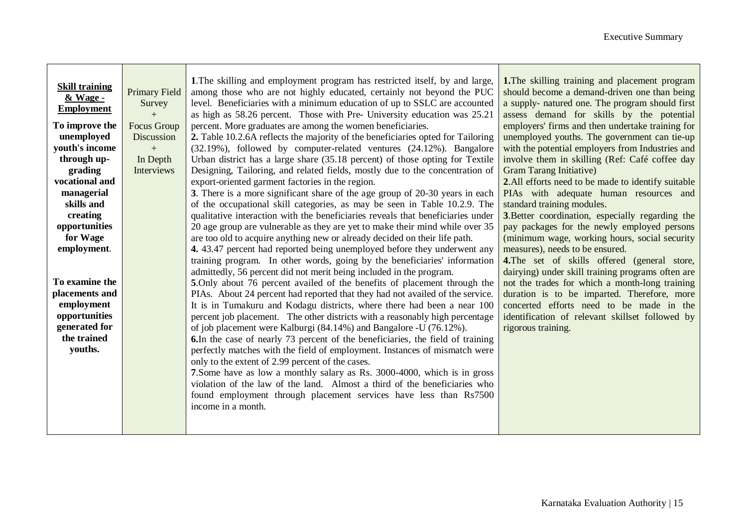۰.

| <b>Skill training</b><br>& Wage -<br><b>Employment</b><br>To improve the<br>unemployed<br>youth's income<br>through up-<br>grading<br>vocational and<br>managerial<br>skills and<br>creating<br>opportunities<br>for Wage<br>employment.<br>To examine the<br>placements and<br>employment<br>opportunities<br>generated for<br>the trained<br>youths. | <b>Primary Field</b><br>Survey<br>$+$<br><b>Focus Group</b><br>Discussion<br>$+$<br>In Depth<br>Interviews | 1. The skilling and employment program has restricted itself, by and large,<br>among those who are not highly educated, certainly not beyond the PUC<br>level. Beneficiaries with a minimum education of up to SSLC are accounted<br>as high as 58.26 percent. Those with Pre- University education was 25.21<br>percent. More graduates are among the women beneficiaries.<br>2. Table 10.2.6A reflects the majority of the beneficiaries opted for Tailoring<br>(32.19%), followed by computer-related ventures (24.12%). Bangalore<br>Urban district has a large share (35.18 percent) of those opting for Textile<br>Designing, Tailoring, and related fields, mostly due to the concentration of<br>export-oriented garment factories in the region.<br>3. There is a more significant share of the age group of 20-30 years in each<br>of the occupational skill categories, as may be seen in Table 10.2.9. The<br>qualitative interaction with the beneficiaries reveals that beneficiaries under<br>20 age group are vulnerable as they are yet to make their mind while over 35<br>are too old to acquire anything new or already decided on their life path.<br>4. 43.47 percent had reported being unemployed before they underwent any<br>training program. In other words, going by the beneficiaries' information<br>admittedly, 56 percent did not merit being included in the program.<br>5. Only about 76 percent availed of the benefits of placement through the<br>PIAs. About 24 percent had reported that they had not availed of the service.<br>It is in Tumakuru and Kodagu districts, where there had been a near 100<br>percent job placement. The other districts with a reasonably high percentage<br>of job placement were Kalburgi (84.14%) and Bangalore -U (76.12%).<br>6. In the case of nearly 73 percent of the beneficiaries, the field of training<br>perfectly matches with the field of employment. Instances of mismatch were<br>only to the extent of 2.99 percent of the cases.<br>7. Some have as low a monthly salary as Rs. 3000-4000, which is in gross<br>violation of the law of the land. Almost a third of the beneficiaries who<br>found employment through placement services have less than Rs7500<br>income in a month. | 1. The skilling training and placement program<br>should become a demand-driven one than being<br>a supply- natured one. The program should first<br>assess demand for skills by the potential<br>employers' firms and then undertake training for<br>unemployed youths. The government can tie-up<br>with the potential employers from Industries and<br>involve them in skilling (Ref: Café coffee day<br><b>Gram Tarang Initiative)</b><br>2. All efforts need to be made to identify suitable<br>PIAs with adequate human resources and<br>standard training modules.<br>3. Better coordination, especially regarding the<br>pay packages for the newly employed persons<br>(minimum wage, working hours, social security<br>measures), needs to be ensured.<br><b>4.</b> The set of skills offered (general store,<br>dairying) under skill training programs often are<br>not the trades for which a month-long training<br>duration is to be imparted. Therefore, more<br>concerted efforts need to be made in the<br>identification of relevant skillset followed by<br>rigorous training. |
|--------------------------------------------------------------------------------------------------------------------------------------------------------------------------------------------------------------------------------------------------------------------------------------------------------------------------------------------------------|------------------------------------------------------------------------------------------------------------|---------------------------------------------------------------------------------------------------------------------------------------------------------------------------------------------------------------------------------------------------------------------------------------------------------------------------------------------------------------------------------------------------------------------------------------------------------------------------------------------------------------------------------------------------------------------------------------------------------------------------------------------------------------------------------------------------------------------------------------------------------------------------------------------------------------------------------------------------------------------------------------------------------------------------------------------------------------------------------------------------------------------------------------------------------------------------------------------------------------------------------------------------------------------------------------------------------------------------------------------------------------------------------------------------------------------------------------------------------------------------------------------------------------------------------------------------------------------------------------------------------------------------------------------------------------------------------------------------------------------------------------------------------------------------------------------------------------------------------------------------------------------------------------------------------------------------------------------------------------------------------------------------------------------------------------------------------------------------------------------------------------------------------------------------------------------------------------------------------------------------------------------------------------------------------------------------------------------------------------------------------------------------------|----------------------------------------------------------------------------------------------------------------------------------------------------------------------------------------------------------------------------------------------------------------------------------------------------------------------------------------------------------------------------------------------------------------------------------------------------------------------------------------------------------------------------------------------------------------------------------------------------------------------------------------------------------------------------------------------------------------------------------------------------------------------------------------------------------------------------------------------------------------------------------------------------------------------------------------------------------------------------------------------------------------------------------------------------------------------------------------------------|
|--------------------------------------------------------------------------------------------------------------------------------------------------------------------------------------------------------------------------------------------------------------------------------------------------------------------------------------------------------|------------------------------------------------------------------------------------------------------------|---------------------------------------------------------------------------------------------------------------------------------------------------------------------------------------------------------------------------------------------------------------------------------------------------------------------------------------------------------------------------------------------------------------------------------------------------------------------------------------------------------------------------------------------------------------------------------------------------------------------------------------------------------------------------------------------------------------------------------------------------------------------------------------------------------------------------------------------------------------------------------------------------------------------------------------------------------------------------------------------------------------------------------------------------------------------------------------------------------------------------------------------------------------------------------------------------------------------------------------------------------------------------------------------------------------------------------------------------------------------------------------------------------------------------------------------------------------------------------------------------------------------------------------------------------------------------------------------------------------------------------------------------------------------------------------------------------------------------------------------------------------------------------------------------------------------------------------------------------------------------------------------------------------------------------------------------------------------------------------------------------------------------------------------------------------------------------------------------------------------------------------------------------------------------------------------------------------------------------------------------------------------------------|----------------------------------------------------------------------------------------------------------------------------------------------------------------------------------------------------------------------------------------------------------------------------------------------------------------------------------------------------------------------------------------------------------------------------------------------------------------------------------------------------------------------------------------------------------------------------------------------------------------------------------------------------------------------------------------------------------------------------------------------------------------------------------------------------------------------------------------------------------------------------------------------------------------------------------------------------------------------------------------------------------------------------------------------------------------------------------------------------|

 $\mathbf{\mathbf{r}}$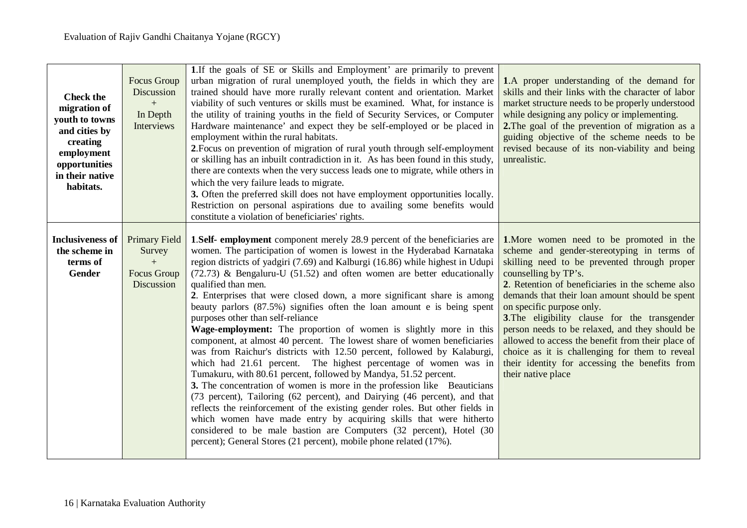| <b>Check the</b><br>migration of<br>youth to towns<br>and cities by<br>creating<br>employment<br>opportunities<br>in their native<br>habitats. | <b>Focus Group</b><br>Discussion<br>$+$<br>In Depth<br>Interviews  | 1. If the goals of SE or Skills and Employment' are primarily to prevent<br>urban migration of rural unemployed youth, the fields in which they are<br>trained should have more rurally relevant content and orientation. Market<br>viability of such ventures or skills must be examined. What, for instance is<br>the utility of training youths in the field of Security Services, or Computer<br>Hardware maintenance' and expect they be self-employed or be placed in<br>employment within the rural habitats.<br>2. Focus on prevention of migration of rural youth through self-employment<br>or skilling has an inbuilt contradiction in it. As has been found in this study,<br>there are contexts when the very success leads one to migrate, while others in<br>which the very failure leads to migrate.<br>3. Often the preferred skill does not have employment opportunities locally.<br>Restriction on personal aspirations due to availing some benefits would<br>constitute a violation of beneficiaries' rights.                                                                                                                                                                                                                                                                                                                                       | 1.A proper understanding of the demand for<br>skills and their links with the character of labor<br>market structure needs to be properly understood<br>while designing any policy or implementing.<br>2. The goal of the prevention of migration as a<br>guiding objective of the scheme needs to be<br>revised because of its non-viability and being<br>unrealistic.                                                                                                                                                                                                             |
|------------------------------------------------------------------------------------------------------------------------------------------------|--------------------------------------------------------------------|---------------------------------------------------------------------------------------------------------------------------------------------------------------------------------------------------------------------------------------------------------------------------------------------------------------------------------------------------------------------------------------------------------------------------------------------------------------------------------------------------------------------------------------------------------------------------------------------------------------------------------------------------------------------------------------------------------------------------------------------------------------------------------------------------------------------------------------------------------------------------------------------------------------------------------------------------------------------------------------------------------------------------------------------------------------------------------------------------------------------------------------------------------------------------------------------------------------------------------------------------------------------------------------------------------------------------------------------------------------------------|-------------------------------------------------------------------------------------------------------------------------------------------------------------------------------------------------------------------------------------------------------------------------------------------------------------------------------------------------------------------------------------------------------------------------------------------------------------------------------------------------------------------------------------------------------------------------------------|
| <b>Inclusiveness of</b><br>the scheme in<br>terms of<br><b>Gender</b>                                                                          | <b>Primary Field</b><br>Survey<br>$+$<br>Focus Group<br>Discussion | <b>1.Self-</b> employment component merely 28.9 percent of the beneficiaries are<br>women. The participation of women is lowest in the Hyderabad Karnataka<br>region districts of yadgiri (7.69) and Kalburgi (16.86) while highest in Udupi<br>$(72.73)$ & Bengaluru-U (51.52) and often women are better educationally<br>qualified than men.<br>2. Enterprises that were closed down, a more significant share is among<br>beauty parlors (87.5%) signifies often the loan amount e is being spent<br>purposes other than self-reliance<br>Wage-employment: The proportion of women is slightly more in this<br>component, at almost 40 percent. The lowest share of women beneficiaries<br>was from Raichur's districts with 12.50 percent, followed by Kalaburgi,<br>which had 21.61 percent. The highest percentage of women was in<br>Tumakuru, with 80.61 percent, followed by Mandya, 51.52 percent.<br>3. The concentration of women is more in the profession like Beauticians<br>(73 percent), Tailoring (62 percent), and Dairying (46 percent), and that<br>reflects the reinforcement of the existing gender roles. But other fields in<br>which women have made entry by acquiring skills that were hitherto<br>considered to be male bastion are Computers (32 percent), Hotel (30<br>percent); General Stores (21 percent), mobile phone related (17%). | 1. More women need to be promoted in the<br>scheme and gender-stereotyping in terms of<br>skilling need to be prevented through proper<br>counselling by TP's.<br>2. Retention of beneficiaries in the scheme also<br>demands that their loan amount should be spent<br>on specific purpose only.<br>3. The eligibility clause for the transgender<br>person needs to be relaxed, and they should be<br>allowed to access the benefit from their place of<br>choice as it is challenging for them to reveal<br>their identity for accessing the benefits from<br>their native place |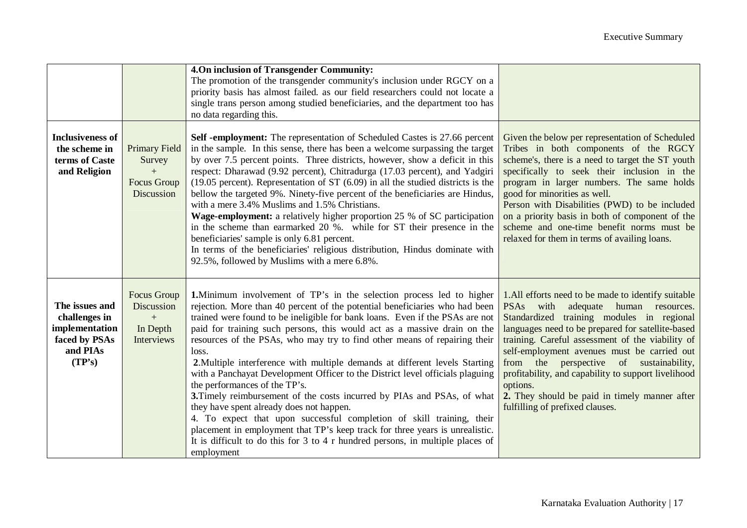|                                                                                          |                                                                    | 4.On inclusion of Transgender Community:<br>The promotion of the transgender community's inclusion under RGCY on a<br>priority basis has almost failed. as our field researchers could not locate a<br>single trans person among studied beneficiaries, and the department too has<br>no data regarding this.                                                                                                                                                                                                                                                                                                                                                                                                                                                                                                                                                                                                                                                                                      |                                                                                                                                                                                                                                                                                                                                                                                                                                                                                                                |
|------------------------------------------------------------------------------------------|--------------------------------------------------------------------|----------------------------------------------------------------------------------------------------------------------------------------------------------------------------------------------------------------------------------------------------------------------------------------------------------------------------------------------------------------------------------------------------------------------------------------------------------------------------------------------------------------------------------------------------------------------------------------------------------------------------------------------------------------------------------------------------------------------------------------------------------------------------------------------------------------------------------------------------------------------------------------------------------------------------------------------------------------------------------------------------|----------------------------------------------------------------------------------------------------------------------------------------------------------------------------------------------------------------------------------------------------------------------------------------------------------------------------------------------------------------------------------------------------------------------------------------------------------------------------------------------------------------|
| <b>Inclusiveness of</b><br>the scheme in<br>terms of Caste<br>and Religion               | <b>Primary Field</b><br>Survey<br>$+$<br>Focus Group<br>Discussion | Self -employment: The representation of Scheduled Castes is 27.66 percent<br>in the sample. In this sense, there has been a welcome surpassing the target<br>by over 7.5 percent points. Three districts, however, show a deficit in this<br>respect: Dharawad (9.92 percent), Chitradurga (17.03 percent), and Yadgiri<br>$(19.05)$ percent). Representation of ST $(6.09)$ in all the studied districts is the<br>bellow the targeted 9%. Ninety-five percent of the beneficiaries are Hindus,<br>with a mere 3.4% Muslims and 1.5% Christians.<br>Wage-employment: a relatively higher proportion 25 % of SC participation<br>in the scheme than earmarked 20 %. while for ST their presence in the<br>beneficiaries' sample is only 6.81 percent.<br>In terms of the beneficiaries' religious distribution, Hindus dominate with<br>92.5%, followed by Muslims with a mere 6.8%.                                                                                                               | Given the below per representation of Scheduled<br>Tribes in both components of the RGCY<br>scheme's, there is a need to target the ST youth<br>specifically to seek their inclusion in the<br>program in larger numbers. The same holds<br>good for minorities as well.<br>Person with Disabilities (PWD) to be included<br>on a priority basis in both of component of the<br>scheme and one-time benefit norms must be<br>relaxed for them in terms of availing loans.                                      |
| The issues and<br>challenges in<br>implementation<br>faced by PSAs<br>and PIAs<br>(TP's) | Focus Group<br>Discussion<br>$+$<br>In Depth<br>Interviews         | <b>1.</b> Minimum involvement of TP's in the selection process led to higher<br>rejection. More than 40 percent of the potential beneficiaries who had been<br>trained were found to be ineligible for bank loans. Even if the PSAs are not<br>paid for training such persons, this would act as a massive drain on the<br>resources of the PSAs, who may try to find other means of repairing their<br>loss.<br>2. Multiple interference with multiple demands at different levels Starting<br>with a Panchayat Development Officer to the District level officials plaguing<br>the performances of the TP's.<br>3. Timely reimbursement of the costs incurred by PIAs and PSAs, of what<br>they have spent already does not happen.<br>4. To expect that upon successful completion of skill training, their<br>placement in employment that TP's keep track for three years is unrealistic.<br>It is difficult to do this for $3$ to $4$ r hundred persons, in multiple places of<br>employment | 1. All efforts need to be made to identify suitable<br>adequate human resources.<br><b>PSAs</b><br>with<br>Standardized training modules in regional<br>languages need to be prepared for satellite-based<br>training. Careful assessment of the viability of<br>self-employment avenues must be carried out<br>from the perspective of sustainability,<br>profitability, and capability to support livelihood<br>options.<br>2. They should be paid in timely manner after<br>fulfilling of prefixed clauses. |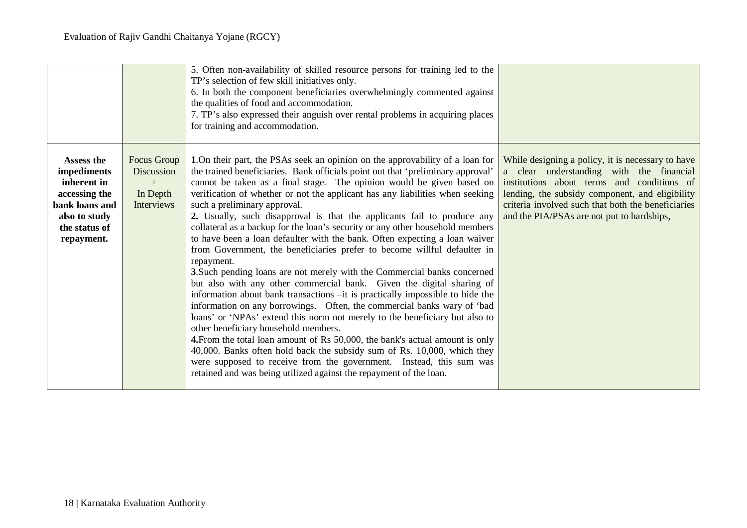|                                                                                                                             |                                                            | 5. Often non-availability of skilled resource persons for training led to the<br>TP's selection of few skill initiatives only.<br>6. In both the component beneficiaries overwhelmingly commented against<br>the qualities of food and accommodation.<br>7. TP's also expressed their anguish over rental problems in acquiring places<br>for training and accommodation.                                                                                                                                                                                                                                                                                                                                                                                                                                                                                                                                                                                                                                                                                                                                                                                                                                                                                                                                                                                                                                                                      |                                                                                                                                                                                                                                                                                                    |
|-----------------------------------------------------------------------------------------------------------------------------|------------------------------------------------------------|------------------------------------------------------------------------------------------------------------------------------------------------------------------------------------------------------------------------------------------------------------------------------------------------------------------------------------------------------------------------------------------------------------------------------------------------------------------------------------------------------------------------------------------------------------------------------------------------------------------------------------------------------------------------------------------------------------------------------------------------------------------------------------------------------------------------------------------------------------------------------------------------------------------------------------------------------------------------------------------------------------------------------------------------------------------------------------------------------------------------------------------------------------------------------------------------------------------------------------------------------------------------------------------------------------------------------------------------------------------------------------------------------------------------------------------------|----------------------------------------------------------------------------------------------------------------------------------------------------------------------------------------------------------------------------------------------------------------------------------------------------|
| Assess the<br>impediments<br>inherent in<br>accessing the<br>bank loans and<br>also to study<br>the status of<br>repayment. | Focus Group<br>Discussion<br>$+$<br>In Depth<br>Interviews | 1. On their part, the PSAs seek an opinion on the approvability of a loan for<br>the trained beneficiaries. Bank officials point out that 'preliminary approval'<br>cannot be taken as a final stage. The opinion would be given based on<br>verification of whether or not the applicant has any liabilities when seeking<br>such a preliminary approval.<br>2. Usually, such disapproval is that the applicants fail to produce any<br>collateral as a backup for the loan's security or any other household members<br>to have been a loan defaulter with the bank. Often expecting a loan waiver<br>from Government, the beneficiaries prefer to become willful defaulter in<br>repayment.<br>3. Such pending loans are not merely with the Commercial banks concerned<br>but also with any other commercial bank. Given the digital sharing of<br>information about bank transactions -it is practically impossible to hide the<br>information on any borrowings. Often, the commercial banks wary of 'bad<br>loans' or 'NPAs' extend this norm not merely to the beneficiary but also to<br>other beneficiary household members.<br>4. From the total loan amount of Rs 50,000, the bank's actual amount is only<br>40,000. Banks often hold back the subsidy sum of Rs. 10,000, which they<br>were supposed to receive from the government. Instead, this sum was<br>retained and was being utilized against the repayment of the loan. | While designing a policy, it is necessary to have<br>a clear understanding with the financial<br>institutions about terms and conditions of<br>lending, the subsidy component, and eligibility<br>criteria involved such that both the beneficiaries<br>and the PIA/PSAs are not put to hardships, |